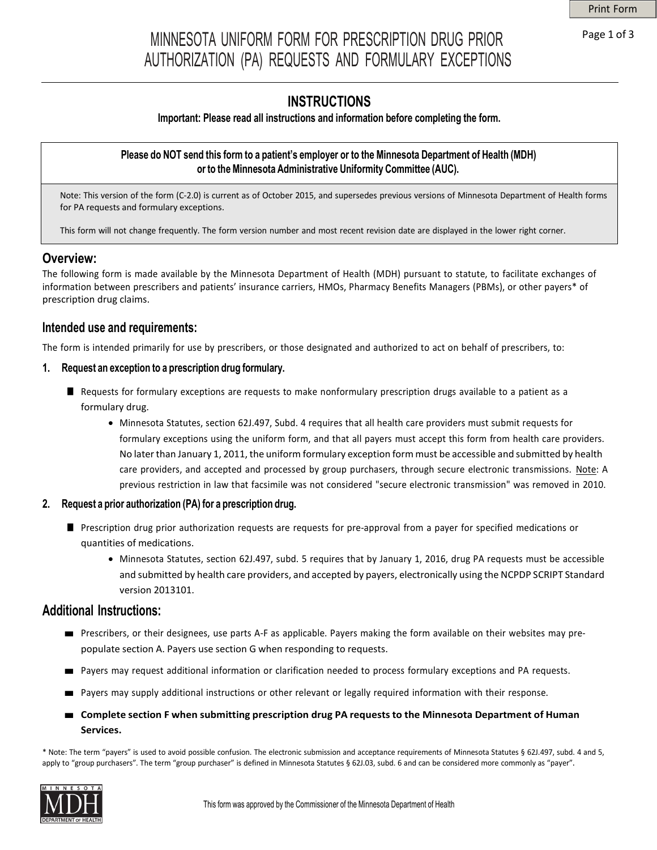# MINNESOTA UNIFORM FORM FOR PRESCRIPTION DRUG PRIOR Page 1 of 3 AUTHORIZATION (PA) REQUESTS AND FORMULARY EXCEPTIONS

## **INSTRUCTIONS**

#### **Important: Please read all instructions and information before completing the form.**

#### Please do NOT send this form to a patient's employer or to the Minnesota Department of Health (MDH) **or to theMinnesota Administrative Uniformity Committee (AUC).**

Note: This version of the form (C-2.0) is current as of October 2015, and supersedes previous versions of Minnesota Department of Health forms for PA requests and formulary exceptions.

This form will not change frequently. The form version number and most recent revision date are displayed in the lower right corner.

### **Overview:**

The following form is made available by the Minnesota Department of Health (MDH) pursuant to statute, to facilitate exchanges of information between prescribers and patients' insurance carriers, HMOs, Pharmacy Benefits Managers (PBMs), or other payers\* of prescription drug claims.

#### **Intended use and requirements:**

The form is intended primarily for use by prescribers, or those designated and authorized to act on behalf of prescribers, to:

#### **1. Request an exception to a prescription drug formulary.**

- Requests for formulary exceptions are requests to make nonformulary prescription drugs available to a patient as a formulary drug.
	- Minnesota Statutes, section 62J.497, Subd. 4 requires that all health care providers must submit requests for formulary exceptions using the uniform form, and that all payers must accept this form from health care providers. No later than January 1, 2011, the uniform formulary exception form must be accessible and submitted by health care providers, and accepted and processed by group purchasers, through secure electronic transmissions. Note: A previous restriction in law that facsimile was not considered "secure electronic transmission" was removed in 2010.

#### **2. Request a prior authorization (PA) for a prescription drug.**

- Prescription drug prior authorization requests are requests for pre-approval from a payer for specified medications or quantities of medications.
	- Minnesota Statutes, section 62J.497, subd. 5 requires that by January 1, 2016, drug PA requests must be accessible and submitted by health care providers, and accepted by payers, electronically using the NCPDP SCRIPT Standard version 2013101.

#### **Additional Instructions:**

- Prescribers, or their designees, use parts A-F as applicable. Payers making the form available on their websites may prepopulate section A. Payers use section G when responding to requests.
- Payers may request additional information or clarification needed to process formulary exceptions and PA requests.
- Payers may supply additional instructions or other relevant or legally required information with their response.
- **Complete section <sup>F</sup> when submitting prescription drug PA requests to the Minnesota Department of Human Services.**

\* Note: The term "payers" is used to avoid possible confusion. The electronic submission and acceptance requirements of Minnesota Statutes § 62J.497, subd. 4 and 5, apply to "group purchasers". The term "group purchaser" is defined in Minnesota Statutes § 62J.03, subd. 6 and can be considered more commonly as "payer".

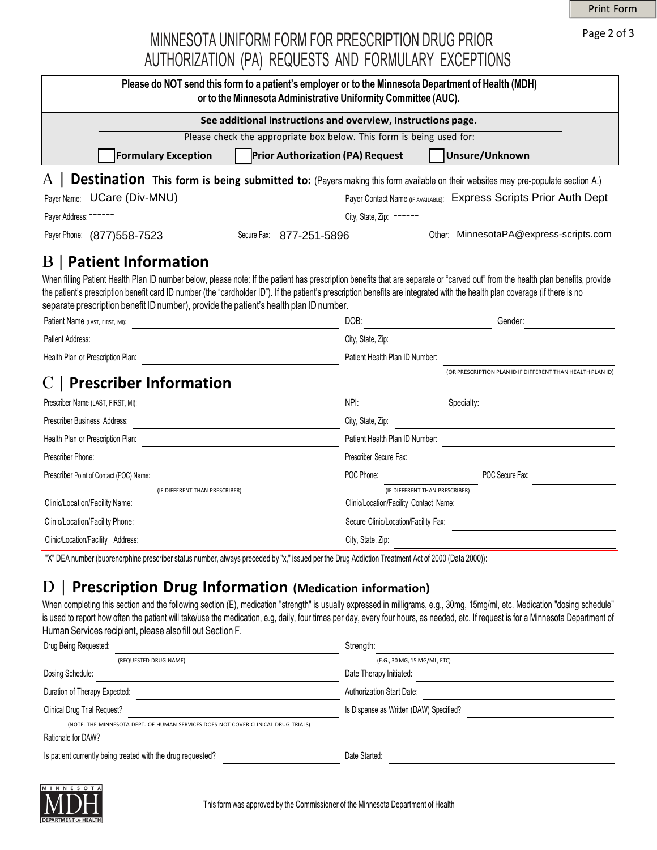Print Form

Page 2 of 3

## MINNESOTA UNIFORM FORM FOR PRESCRIPTION DRUG PRIOR AUTHORIZATION (PA) REQUESTS AND FORMULARY EXCEPTIONS

|                                                                                                                                                   | or to the Minnesota Administrative Uniformity Committee (AUC).       |                                                                          | Please do NOT send this form to a patient's employer or to the Minnesota Department of Health (MDH)                                   |  |
|---------------------------------------------------------------------------------------------------------------------------------------------------|----------------------------------------------------------------------|--------------------------------------------------------------------------|---------------------------------------------------------------------------------------------------------------------------------------|--|
|                                                                                                                                                   | See additional instructions and overview, Instructions page.         |                                                                          |                                                                                                                                       |  |
|                                                                                                                                                   | Please check the appropriate box below. This form is being used for: |                                                                          |                                                                                                                                       |  |
| <b>Formulary Exception</b>                                                                                                                        | <b>Prior Authorization (PA) Request</b>                              |                                                                          | Unsure/Unknown                                                                                                                        |  |
| A                                                                                                                                                 |                                                                      |                                                                          | <b>Destination</b> This form is being submitted to: (Payers making this form available on their websites may pre-populate section A.) |  |
| Payer Name: UCare (Div-MNU)                                                                                                                       |                                                                      |                                                                          | Payer Contact Name (IF AVAILABLE): Express Scripts Prior Auth Dept                                                                    |  |
| Payer Address: -                                                                                                                                  |                                                                      | City, State, Zip: ------                                                 |                                                                                                                                       |  |
| Payer Phone: (877) 558-7523                                                                                                                       | Secure Fax: 877-251-5896                                             |                                                                          | Other: MinnesotaPA@express-scripts.com                                                                                                |  |
| separate prescription benefit ID number), provide the patient's health plan ID number.<br>Patient Name (LAST, FIRST, MI):                         |                                                                      | DOB:                                                                     | Gender:                                                                                                                               |  |
| Patient Address:                                                                                                                                  |                                                                      | City, State, Zip:                                                        |                                                                                                                                       |  |
| Health Plan or Prescription Plan:                                                                                                                 |                                                                      | Patient Health Plan ID Number:                                           |                                                                                                                                       |  |
| <b>Prescriber Information</b>                                                                                                                     |                                                                      |                                                                          | (OR PRESCRIPTION PLAN ID IF DIFFERENT THAN HEALTH PLAN ID)                                                                            |  |
| Prescriber Name (LAST, FIRST, MI):                                                                                                                |                                                                      | NPI:                                                                     | Specialty:                                                                                                                            |  |
| Prescriber Business Address:                                                                                                                      |                                                                      | City, State, Zip:                                                        |                                                                                                                                       |  |
| Health Plan or Prescription Plan:                                                                                                                 |                                                                      | Patient Health Plan ID Number:                                           |                                                                                                                                       |  |
| Prescriber Phone:                                                                                                                                 |                                                                      | Prescriber Secure Fax:                                                   |                                                                                                                                       |  |
| Prescriber Point of Contact (POC) Name:                                                                                                           |                                                                      | POC Phone:                                                               | POC Secure Fax:                                                                                                                       |  |
| (IF DIFFERENT THAN PRESCRIBER)                                                                                                                    |                                                                      | (IF DIFFERENT THAN PRESCRIBER)<br>Clinic/Location/Facility Contact Name: |                                                                                                                                       |  |
| Clinic/Location/Facility Name:<br>Clinic/Location/Facility Phone:                                                                                 |                                                                      | Secure Clinic/Location/Facility Fax:                                     |                                                                                                                                       |  |
| Clinic/Location/Facility Address:                                                                                                                 |                                                                      | City, State, Zip:                                                        |                                                                                                                                       |  |
| "X" DEA number (buprenorphine prescriber status number, always preceded by "x," issued per the Drug Addiction Treatment Act of 2000 (Data 2000)): |                                                                      |                                                                          |                                                                                                                                       |  |
|                                                                                                                                                   |                                                                      |                                                                          |                                                                                                                                       |  |

## D | **Prescription Drug Information (Medication information)**

When completing this section and the following section (E), medication "strength" is usually expressed in milligrams, e.g., 30mg, 15mg/ml, etc. Medication "dosing schedule" is used to report how often the patient will take/use the medication, e.g, daily, four times per day, every four hours, as needed, etc. If request is for a Minnesota Department of Human Services recipient, please also fill out Section F.

| Drug Being Requested:                                                             | Strength:                               |  |  |  |
|-----------------------------------------------------------------------------------|-----------------------------------------|--|--|--|
| (REQUESTED DRUG NAME)                                                             | (E.G., 30 MG, 15 MG/ML, ETC)            |  |  |  |
| Dosing Schedule:                                                                  | Date Therapy Initiated:                 |  |  |  |
| Duration of Therapy Expected:                                                     | <b>Authorization Start Date:</b>        |  |  |  |
| Clinical Drug Trial Request?                                                      | Is Dispense as Written (DAW) Specified? |  |  |  |
| (NOTE: THE MINNESOTA DEPT. OF HUMAN SERVICES DOES NOT COVER CLINICAL DRUG TRIALS) |                                         |  |  |  |
| Rationale for DAW?                                                                |                                         |  |  |  |
| Is patient currently being treated with the drug requested?                       | Date Started:                           |  |  |  |